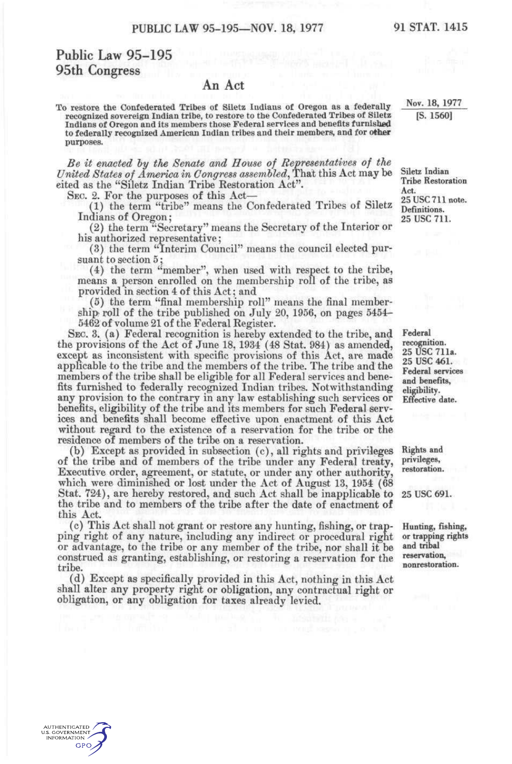## Public Law 95-195 95th Congress

AUTHENTICATED U.S. GOVERNMENT GPO

## An Act

To restore the Confederated Tribes of Siletz Indians of Oregon as a federally recognized sovereign Indian tribe, to restore to the Confederated Tribes of Siletz Indians of Oregon and its members those Federal services and benefits furnished to federally recognized American Indian tribes and their members, and for other purposes.

*Be it enacted hy the Senate and House of Representatives of the United States of America in Congress assembled,* That this Act may be cited as the "Siletz Indian Tribe Restoration Act".

SEC. 2. For the purposes of this Act-

(1) the term "tribe" means the Confederated Tribes of Siletz Indians of Oregon;

(2) the term "Secretary" means the Secretary of the Interior or his authorized representative;

(3) the term "Interim Council" means the council elected pursuant to section 5;

(4) the term "member", when used with respect to the tribe, means a person enrolled on the membership roll of the tribe, as provided in section 4 of this Act; and

(5) the term "final membership roll" means the final membership; roll of the tribe published on July 20, 1956, on pages 5454- 5462 of volume 21 of the Federal Register.

SEC. 3. (a) Federal recognition is hereby extended to the tribe, and the provisions of the Act of June 18, 1934 (48 Stat. 984) as amended, except as inconsistent with specific provisions of this Act, are made applicable to the tribe and the members of the tribe. The tribe and the members of the tribe shall be eligible for all Federal services and benefits furnished to federally recognized Indian tribes. Notwithstanding any provision to the contrary in any law establishing such services or benefits, eligibility of the tribe and its members for such Federal services and benefits shall become effective upon enactment of this Act without regard to the existence of a reservation for the tribe or the residence of members of the tribe on a reservation.

(b) Except as provided in subsection (c), all rights and privileges of the tribe and of members of the tribe under any Federal treaty, Executive order, agreement, or statute, or under any other authority, which were diminished or lost under the Act of August 13, 1954 (68 Stat. 724), are hereby restored, and such Act shall be inapplicable to the tribe and to members of the tribe after the date of enactment of this Act.

(c) This Act shall not grant or restore any hunting, fishing, or trapping right of any nature, including any indirect or procedural right or advantage, to the tribe or any member of the tribe, nor shall it be construed as granting, establishing, or restoring a reservation for the tribe.

(d) Except as specifically provided in this Act, nothing in this Act shall alter any property right or obligation, any contractual right or obligation, or any obligation for taxes already levied.

Nov. 18. 1977 [S. 15601

Siletz Indian Tribe Restoration Act 25 USC 711 note. Definitions. 25 USC 711.

Federal recognition. 25 USC 711a. 25 USC 461. Federal services and benefits, eligibility. Effective date.

Rights and privileges, restoration.

25 USC 691.

Hunting, fishing, or trapping rights and tribal reservation, nonrestoration.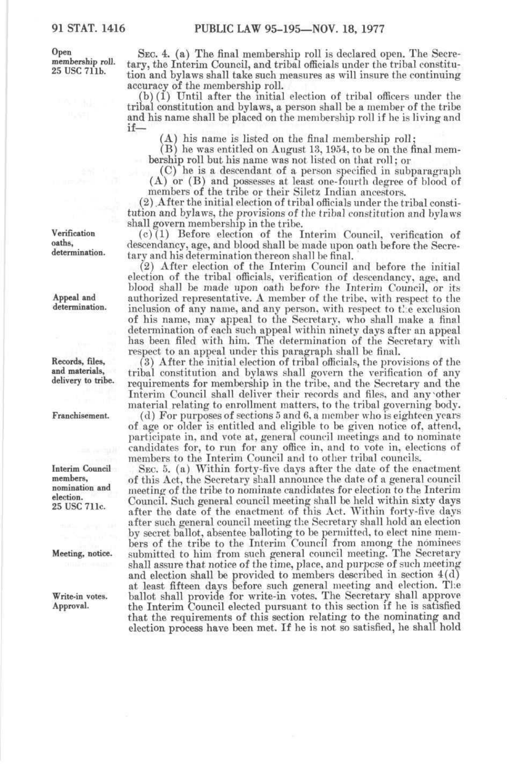Open membership roll. 25 use 711b.

SEC. 4. (a) The final membership roll is declared open. The Secretary, the Interim Council, and tribal officials under the tribal constitution and bylaws shall take such measures as will insure the continuing accuracy of the membership roll.

(b) (1) Until after the initial election of tribal officers under the tribal constitution and bylaws, a person shall be a member of the tribe and his name shall be placed on the membership roll if he is living and

(A) his name is listed on the final membership roll;

(B) he was entitled on August 13,1954, to be on the final membership roll but his name was not listed on that roll; or

(C) he is a descendant of a person specified in subparagraph (A) or (B) and possesses at least one-fourth degree of blood of members of the tribe or their Siletz Indian ancestors.

(2) After the initial election of tribal officials under the tribal constitution and bylaws, the provisions of the tribal constitution and bylaws shall govern membership in the tribe.

(c)(1) Before election of the Interim Council, verification of descendancy, age, and blood shall be made upon oath before the Secretary and his determination thereon shall be final.

(2) After election of the Interim Council and before the initial election of the tribal officials, verification of descendancy, age, and blood shall be made upon oath before the Interim Council, or its authorized representative. A member of the tribe, with respect to the inclusion of any name, and any person, with respect to the exclusion of his name, may appeal to the Secretary, w^ho shall make a final determination of each such appeal within ninety days after an appeal has been filed with him. The determination of the Secretary with respect to an appeal under this paragraph shall be final.

(3) After the initial election of tribal officials, the provisions of the tribal constitution and bylaws shall govern the verification of any requirements for membership in the tiibe, and the Secretary and the Interim Council shall deliver their records and files, and any'other material relating to enrollment matters, to the tribal governing body.

(d) For purposes of sections 5 and 6, a member who is eighteen years of age or older is entitled and eligible to be given notice of, attend, participate in, and vote at, general council meetings and to nominate candidates for, to run for any office in, and to vote in, elections of members to the Interim Council and to other tribal councils.

SEC. 5. (a) Within forty-five days after the date of the enactment of this Act, the Secretary shall announce the date of a general council meeting of the tribe to nominate candidates for election to the Interim Council. Such general council meeting shall be held within sixty days after the date of the enactment of this Act. Within forty-five days after such general council meeting the Secretary shall hold an election by secret ballot, absentee balloting to be permitted, to elect nine members of the tribe to the Interim Council from among the nominees submitted to him from such general council meeting. The Secretary shall assure that notice of the time, place, and purpose of such meeting and election shall be provided to members described in section 4(d) at least fifteen days before such general meeting and election. Tlie ballot shall provide for write-in votes. The Secretary shall approve the Interim Council elected pursuant to this section if he is satisfied that the requirements of this section relating to the nominating and election process have been met. If he is not so satisfied, he shall hold

Verification oaths, determination.

Appeal and determination.

Records, files, and materials, delivery to tribe.

Franchisement.

Interim Council members, nomination and election. 25 USC 711c.

Meeting, notice.

Write-in votes. Approval.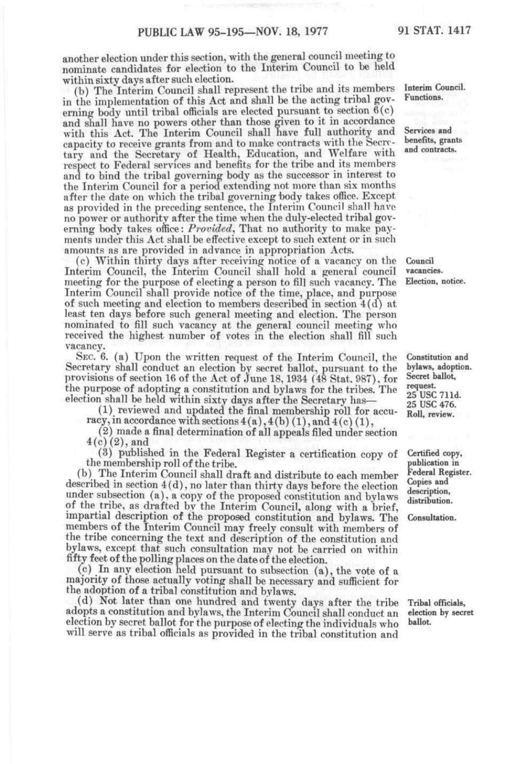another election under this section, with the general council meeting to nominate candidates for election to the Interim Council to be held within sixty days after such election.

(h) The Interim Council shall represent the tribe and its members in the implementation of this Act and shall be the acting tribal governing body until tribal officials are elected pursuant to section  $6(c)$ and shall have no powers other than those given to it in accordance with this Act. The Interim Council shall have full authority and capacity to receive grants from and to make contracts with the Secretary and the Secretary of Health, Education, and Welfare with respect to Federal services and benefits for the tribe and its members and to bind the tribal governing body as the successor in interest to the Interim Council for a period extending not more than six months after the date on which the tribal governing body takes office. Except as provided in the preceding sentence, the Interim Council shall have no power or authority after the time when the duly-elected tribal governing body takes office: Provided, That no authority to make payments under this Act shall be effective except to such extent or in such amounts as are provided in advance in appropriation Acts.

(c) Within thirty days after receiving notice of a vacancy on the Interim Council, the Interim Council shall hold a general council meeting for the purpose of electing a person to fill such vacancy. The Interim Council shall provide notice of the time, place, and purpose of such meeting and election to members described in section 4(d) at least ten days before such general meeting and election. The person nominated to fill such vacancy at the general council meeting who received the highest number of votes in the election shall fill such vacancy.

SEC. 6. (a) Upon the written request of the Interim Council, the Secretary shall conduct an election by secret ballot, pursuant to the provisions of section 16 of the Act of June 18,1934 (48 Stat. 987), for the purpose of adopting a constitution and bylaws for the tribes. The election shall be held within sixty days after the Secretary has—

(1) reviewed and updated the final membership roll for accuracy, in accordance with sections  $4(a)$ ,  $4(b)$   $(1)$ , and  $4(c)$   $(1)$ ,

(2) made a final determination of all appeals filed under section  $4(c)$  (2), and

(3) published in the Federal Register a certification copy of the membership roll of the tribe.

(b) The Interim Council shall draft and distribute to each member described in section 4(d), no later than thirty days before the election under subsection (a), a copy of the proposed constitution and bylaws of the tribe, as drafted by the Interim Council, along with a brief, impartial description of the proposed constitution and bylaws. The members of the Interim Council may freely consult with members of the tribe concerning the text and description of the constitution and bylaws, except that such consultation may not be carried on within fifty feet of the polling places on the date of the election,

(c) In any election held pursuant to subsection (a), the vote of a majority of those actually voting shall be necessary and sufficient for the adoption of a tribal constitution and bylaws.

(d) Not later than one hundred and twenty days after the tribe adopts a constitution and bylaws, the Interim Council shall conduct an election by secret ballot for the purpose of electing the individuals who will serve as tribal officials as provided in the tribal constitution and

Interim Council. Functions.

Services and benefits, grants and contracts.

Council vacancies. Election, notice.

Constitution and bylaws, adoption. Secret ballot, request. 25 USC 711d. 25 USC 476. Roll, review.

Certified copy, publication in Federal Register. Copies and description, distribution.

Consultation.

Tribal officials, election by secret ballot.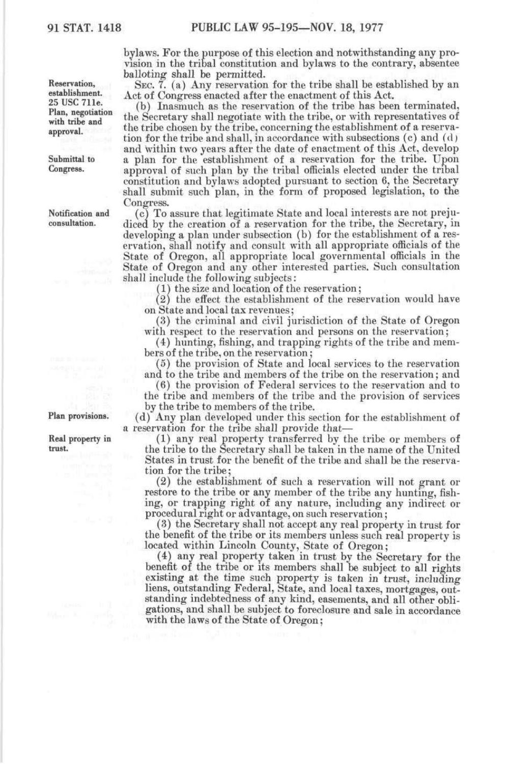bylaws. For the purpose of this election and notwithstanding any provision in the tribal constitution and bylaws to the contrary, absentee balloting shall be permitted.

SEC. 7. (a) Any reservation for the tribe shall be established by an Act of Congress enacted after the enactment of this Act.

(b) Inasmuch as the reservation of the tribe has been terminated, the Secretary shall negotiate with the tribe, or with representatives of the tribe chosen by the tribe, concerning the establishment of a reservation for the tribe and shall, in accordance with subsections (c) and (d) and within two years after the date of enactment of this Act, develop a plan for the establishment of a reservation for the tribe. Upon approval of such plan by the tribal officials elected under the tribal constitution and bylaws adopted pursuant to section 6, the Secretary shall submit such plan, in the form of proposed legislation, to the Congress.

(c) To assure that legitimate State and local interests are not prejudiced by the creation of a reservation for the tribe, the Secretary, in developing a plan under subsection (b) for the establishment of a reservation, shall notify and consult with all appropriate officials of the State of Oregon, all appropriate local governmental officials in the State of Oregon and any other interested parties. Such consultation shall include the following subjects:

(1) the size and location of the reservation;

(2) the effect the establishment of the reservation would have on State and local tax revenues;

(3) the criminal and civil jurisdiction of the State of Oregon with respect to the reservation and persons on the reservation;

(4) hunting, fishing, and trapping rights of the tribe and members of the tribe, on the reservation;

(5) the provision of State and local services to the reservation and to the tribe and members of the tribe on the reservation; and

(6) the provision of Federal services to the reservation and to the tribe and members of the tribe and the provision of services by the tribe to members of the tribe.

(d) Any plan developed under this section for the establishment of a reservation for the tribe shall provide that—

(1) any real property transferred by the tribe or members of the tribe to the Secretary shall be taken in the name of the United States in trust for the benefit of the tribe and shall be the reservation for the tribe;

(2) the establishment of such a reservation will not grant or restore to the tribe or any member of the tribe any hunting, fishing, or trapping right of any nature, including any indirect or procedural right or advantage, on such reservation;

(3) the Secretary shall not accept any real property in trust for the benefit of the tribe or its members unless such real property is located within Lincoln County, State of Oregon;

(4) any real property taken in trust by the Secretary for the benefit of the tribe or its members shall be subject to all rights existing at the time such property is taken in trust, including liens, outstanding Federal, State, and local taxes, mortgages, outstanding indebtedness of any kind, easements, and all other obligations, and shall be subject to foreclosure and sale in accordance with the laws of the State of Oregon;

Reservation, establishment. 25 USC 711e. Plan, negotiation with tribe and approval.

Submittal to<br>Congress.

Notification and consultation.

Plan provisions.

Real property in trust.